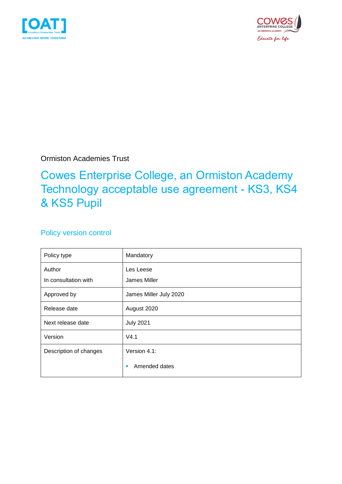



Ormiston Academies Trust

## Cowes Enterprise College, an Ormiston Academy Technology acceptable use agreement - KS3, KS4 & KS5 Pupil

### Policy version control

| Policy type            | Mandatory              |
|------------------------|------------------------|
| Author                 | Les Leese              |
| In consultation with   | James Miller           |
| Approved by            | James Miller July 2020 |
| Release date           | August 2020            |
| Next release date      | <b>July 2021</b>       |
| Version                | V4.1                   |
| Description of changes | Version 4.1:           |
|                        | Amended dates<br>п     |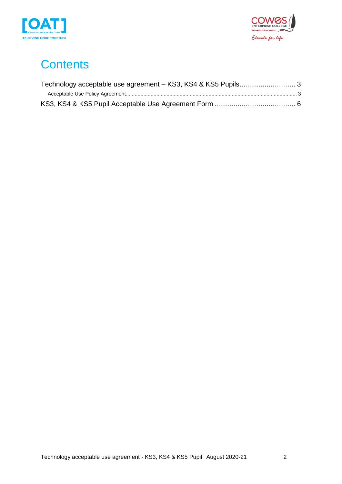



# **Contents**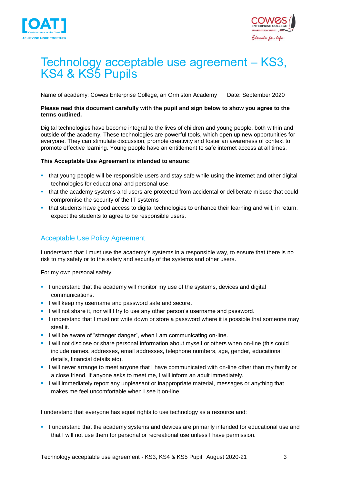



## <span id="page-2-0"></span>Technology acceptable use agreement – KS3, KS4 & KS5 Pupils

Name of academy: Cowes Enterprise College, an Ormiston Academy Date: September 2020

#### **Please read this document carefully with the pupil and sign below to show you agree to the terms outlined.**

Digital technologies have become integral to the lives of children and young people, both within and outside of the academy. These technologies are powerful tools, which open up new opportunities for everyone. They can stimulate discussion, promote creativity and foster an awareness of context to promote effective learning. Young people have an entitlement to safe internet access at all times.

#### **This Acceptable Use Agreement is intended to ensure:**

- **that young people will be responsible users and stay safe while using the internet and other digital** technologies for educational and personal use.
- **.** that the academy systems and users are protected from accidental or deliberate misuse that could compromise the security of the IT systems
- **that students have good access to digital technologies to enhance their learning and will, in return,** expect the students to agree to be responsible users.

### <span id="page-2-1"></span>Acceptable Use Policy Agreement

I understand that I must use the academy's systems in a responsible way, to ensure that there is no risk to my safety or to the safety and security of the systems and other users.

For my own personal safety:

- **.** I understand that the academy will monitor my use of the systems, devices and digital communications.
- **.** I will keep my username and password safe and secure.
- **.** I will not share it, nor will I try to use any other person's username and password.
- **.** I understand that I must not write down or store a password where it is possible that someone may steal it.
- I will be aware of "stranger danger", when I am communicating on-line.
- I will not disclose or share personal information about myself or others when on-line (this could include names, addresses, email addresses, telephone numbers, age, gender, educational details, financial details etc).
- **.** I will never arrange to meet anyone that I have communicated with on-line other than my family or a close friend. If anyone asks to meet me, I will inform an adult immediately.
- **.** I will immediately report any unpleasant or inappropriate material, messages or anything that makes me feel uncomfortable when I see it on-line.

I understand that everyone has equal rights to use technology as a resource and:

**.** I understand that the academy systems and devices are primarily intended for educational use and that I will not use them for personal or recreational use unless I have permission.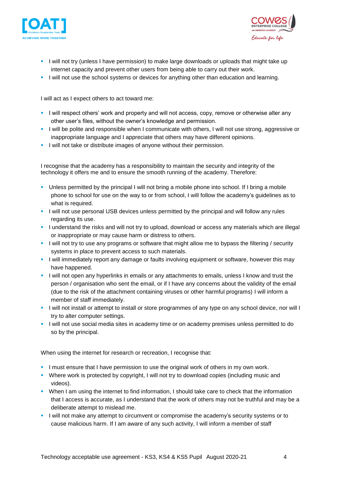



- **.** I will not try (unless I have permission) to make large downloads or uploads that might take up internet capacity and prevent other users from being able to carry out their work.
- **.** I will not use the school systems or devices for anything other than education and learning.

I will act as I expect others to act toward me:

- **.** I will respect others' work and property and will not access, copy, remove or otherwise alter any other user's files, without the owner's knowledge and permission.
- **.** I will be polite and responsible when I communicate with others, I will not use strong, aggressive or inappropriate language and I appreciate that others may have different opinions.
- **.** I will not take or distribute images of anyone without their permission.

I recognise that the academy has a responsibility to maintain the security and integrity of the technology it offers me and to ensure the smooth running of the academy. Therefore:

- Unless permitted by the principal I will not bring a mobile phone into school. If I bring a mobile phone to school for use on the way to or from school, I will follow the academy's guidelines as to what is required.
- I will not use personal USB devices unless permitted by the principal and will follow any rules regarding its use.
- **.** I understand the risks and will not try to upload, download or access any materials which are illegal or inappropriate or may cause harm or distress to others.
- **.** I will not try to use any programs or software that might allow me to bypass the filtering / security systems in place to prevent access to such materials.
- **.** I will immediately report any damage or faults involving equipment or software, however this may have happened.
- **.** I will not open any hyperlinks in emails or any attachments to emails, unless I know and trust the person / organisation who sent the email, or if I have any concerns about the validity of the email (due to the risk of the attachment containing viruses or other harmful programs) I will inform a member of staff immediately.
- I will not install or attempt to install or store programmes of any type on any school device, nor will I try to alter computer settings.
- I will not use social media sites in academy time or on academy premises unless permitted to do so by the principal.

When using the internet for research or recreation, I recognise that:

- **.** I must ensure that I have permission to use the original work of others in my own work.
- Where work is protected by copyright, I will not try to download copies (including music and videos).
- **•** When I am using the internet to find information, I should take care to check that the information that I access is accurate, as I understand that the work of others may not be truthful and may be a deliberate attempt to mislead me.
- **.** I will not make any attempt to circumvent or compromise the academy's security systems or to cause malicious harm. If I am aware of any such activity, I will inform a member of staff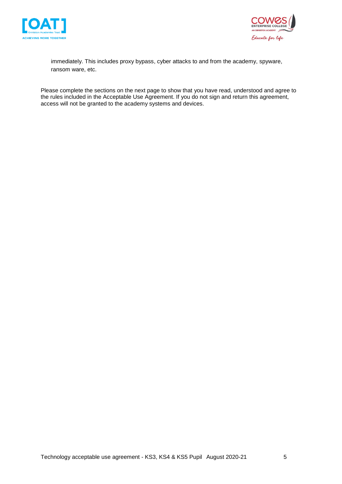



immediately. This includes proxy bypass, cyber attacks to and from the academy, spyware, ransom ware, etc.

Please complete the sections on the next page to show that you have read, understood and agree to the rules included in the Acceptable Use Agreement. If you do not sign and return this agreement, access will not be granted to the academy systems and devices.